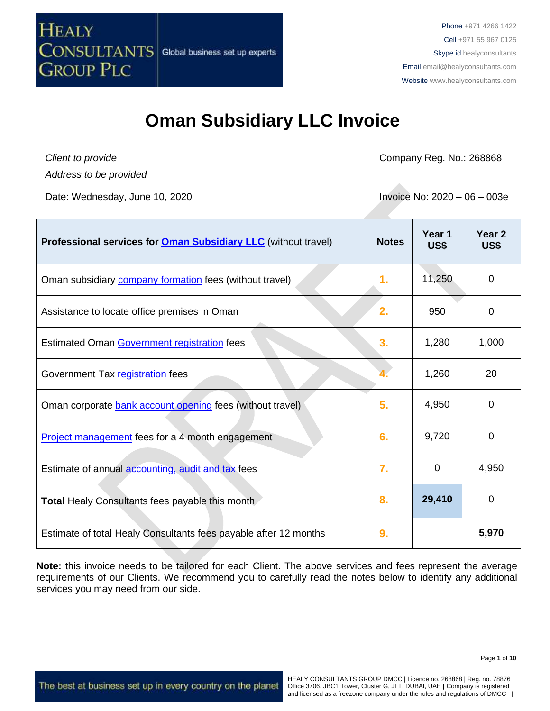

*Client to provide Address to be provided*

**HEALY** 

**GROUP PLC** 

Company Reg. No.: 268868

Date: Wednesday, June 10, 2020 **Invoice No. 2020** - 06 – 003e

| Professional services for <b>Oman Subsidiary LLC</b> (without travel) | <b>Notes</b> | Year 1<br>US\$ | Year <sub>2</sub><br>US\$ |
|-----------------------------------------------------------------------|--------------|----------------|---------------------------|
| Oman subsidiary <b>company formation</b> fees (without travel)        | 1.           | 11,250         | $\Omega$                  |
| Assistance to locate office premises in Oman                          | 2.           | 950            | 0                         |
| Estimated Oman Government registration fees                           | 3.           | 1,280          | 1,000                     |
| Government Tax registration fees                                      |              | 1,260          | 20                        |
| Oman corporate bank account opening fees (without travel)             | 5.           | 4,950          | 0                         |
| Project management fees for a 4 month engagement                      | 6.           | 9,720          | 0                         |
| Estimate of annual accounting, audit and tax fees                     | 7.           | $\Omega$       | 4,950                     |
| <b>Total Healy Consultants fees payable this month</b>                | 8.           | 29,410         | 0                         |
| Estimate of total Healy Consultants fees payable after 12 months      | 9.           |                | 5,970                     |

**Note:** this invoice needs to be tailored for each Client. The above services and fees represent the average requirements of our Clients. We recommend you to carefully read the notes below to identify any additional services you may need from our side.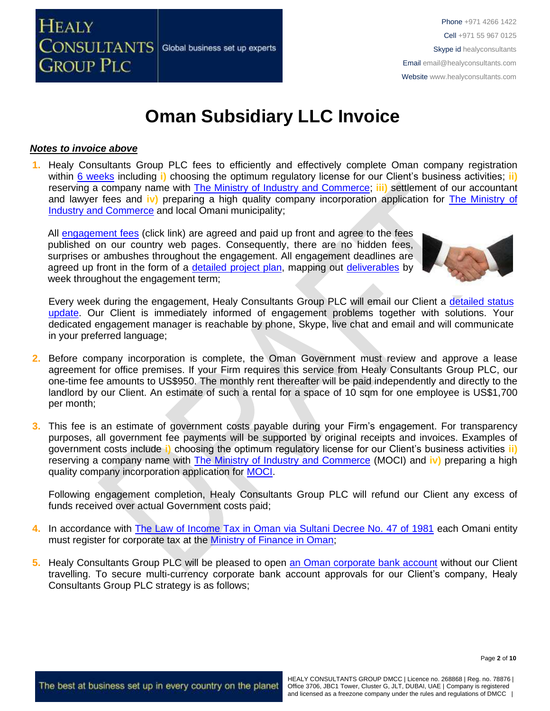

### *Notes to invoice above*

**CONSULTANTS** 

**GROUP PLC** 

**HEALY** 

**1.** Healy Consultants Group PLC fees to efficiently and effectively complete Oman company registration within 6 [weeks](http://www.healyconsultants.com/oman-company-registration/fees-timelines/#timelines) including **i**) choosing the optimum regulatory license for our Client's business activities; **ii**) reserving a company name with [The Ministry of Industry and Commerce;](http://www.mocioman.gov.om/?lang=en-US) **iii)** settlement of our accountant and lawyer fees and **iv)** preparing a high quality company incorporation application for [The Ministry of](http://www.mocioman.gov.om/?lang=en-US)  [Industry and Commerce](http://www.mocioman.gov.om/?lang=en-US) and local Omani municipality;

All [engagement fees](http://www.healyconsultants.com/company-registration-fees/) (click link) are agreed and paid up front and agree to the fees published on our country web pages. Consequently, there are no hidden fees, surprises or ambushes throughout the engagement. All engagement deadlines are agreed up front in the form of a [detailed project plan,](http://www.healyconsultants.com/index-important-links/example-project-plan/) mapping out [deliverables](http://www.healyconsultants.com/deliverables-to-our-clients/) by week throughout the engagement term;

Global business set up experts



Every week during the engagement, Healy Consultants Group PLC will email our Client a [detailed](http://www.healyconsultants.com/index-important-links/weekly-engagement-status-email/) status [update.](http://www.healyconsultants.com/index-important-links/weekly-engagement-status-email/) Our Client is immediately informed of engagement problems together with solutions. Your dedicated engagement manager is reachable by phone, Skype, live chat and email and will communicate in your preferred language;

- **2.** Before company incorporation is complete, the Oman Government must review and approve a lease agreement for office premises. If your Firm requires this service from Healy Consultants Group PLC, our one-time fee amounts to US\$950. The monthly rent thereafter will be paid independently and directly to the landlord by our Client. An estimate of such a rental for a space of 10 sqm for one employee is US\$1,700 per month;
- **3.** This fee is an estimate of government costs payable during your Firm's engagement. For transparency purposes, all government fee payments will be supported by original receipts and invoices. Examples of government costs include **i)** choosing the optimum regulatory license for our Client's business activities **ii)** reserving a company name with [The Ministry of Industry and Commerce](http://www.mocioman.gov.om/?lang=en-US) (MOCI) and **iv)** preparing a high quality company incorporation application for [MOCI.](http://www.mocioman.gov.om/?lang=en-US)

Following engagement completion, Healy Consultants Group PLC will refund our Client any excess of funds received over actual Government costs paid;

- **4.** In accordance with [The Law of Income Tax in Oman via Sultani Decree No. 47 of 1981](http://www.taxoman.gov.om/companies%20law%20in%20English.pdf) each Omani entity must register for corporate tax at the [Ministry of Finance in Oman;](http://www.taxoman.gov.om/company_tax.html#main-page)
- **5.** Healy Consultants Group PLC will be pleased to open [an Oman corporate bank account](http://www.healyconsultants.com/international-banking/) without our Client travelling. To secure multi-currency corporate bank account approvals for our Client's company, Healy Consultants Group PLC strategy is as follows;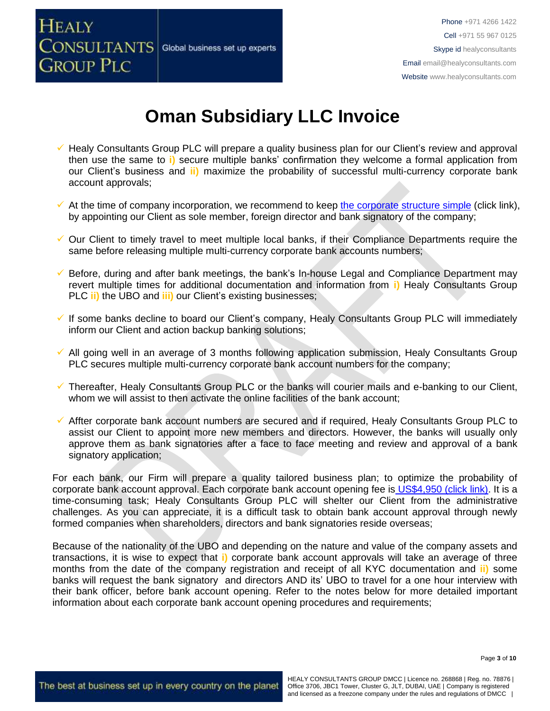

- ✓ Healy Consultants Group PLC will prepare a quality business plan for our Client's review and approval then use the same to **i)** secure multiple banks' confirmation they welcome a formal application from our Client's business and **ii)** maximize the probability of successful multi-currency corporate bank account approvals;
- $\checkmark$  At the time of company incorporation, we recommend to keep [the corporate structure simple](https://www.healyconsultants.com/about-us/complex-client-engagements/simplify-business-setup/) (click link), by appointing our Client as sole member, foreign director and bank signatory of the company;
- ✓ Our Client to timely travel to meet multiple local banks, if their Compliance Departments require the same before releasing multiple multi-currency corporate bank accounts numbers;
- Before, during and after bank meetings, the bank's In-house Legal and Compliance Department may revert multiple times for additional documentation and information from **i)** Healy Consultants Group PLC **ii)** the UBO and **iii)** our Client's existing businesses;
- ✓ If some banks decline to board our Client's company, Healy Consultants Group PLC will immediately inform our Client and action backup banking solutions;
- ✓ All going well in an average of 3 months following application submission, Healy Consultants Group PLC secures multiple multi-currency corporate bank account numbers for the company;
- ✓ Thereafter, Healy Consultants Group PLC or the banks will courier mails and e-banking to our Client, whom we will assist to then activate the online facilities of the bank account;
- ✓ Affter corporate bank account numbers are secured and if required, Healy Consultants Group PLC to assist our Client to appoint more new members and directors. However, the banks will usually only approve them as bank signatories after a face to face meeting and review and approval of a bank signatory application;

For each bank, our Firm will prepare a quality tailored business plan; to optimize the probability of corporate bank account approval. Each corporate bank account opening fee is US\$4,950 [\(click link\).](https://www.healyconsultants.com/global-corporate-banking-for-resident-company/) It is a time-consuming task; Healy Consultants Group PLC will shelter our Client from the administrative challenges. As you can appreciate, it is a difficult task to obtain bank account approval through newly formed companies when shareholders, directors and bank signatories reside overseas;

Because of the nationality of the UBO and depending on the nature and value of the company assets and transactions, it is wise to expect that **i)** corporate bank account approvals will take an average of three months from the date of the company registration and receipt of all KYC documentation and **ii)** some banks will request the bank signatory and directors AND its' UBO to travel for a one hour interview with their bank officer, before bank account opening. Refer to the notes below for more detailed important information about each corporate bank account opening procedures and requirements;

Page **3** of **10**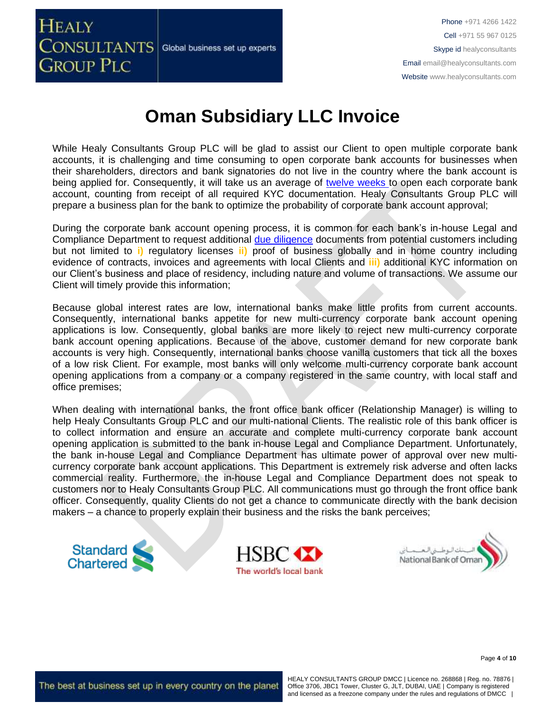

While Healy Consultants Group PLC will be glad to assist our Client to open multiple corporate bank accounts, it is challenging and time consuming to open corporate bank accounts for businesses when their shareholders, directors and bank signatories do not live in the country where the bank account is being applied for. Consequently, it will take us an average of [twelve weeks](http://www.healyconsultants.com/international-banking/bitcoin-business-bank-account/) to open each corporate bank account, counting from receipt of all required KYC documentation. Healy Consultants Group PLC will prepare a business plan for the bank to optimize the probability of corporate bank account approval;

During the corporate bank account opening process, it is common for each bank's in-house Legal and Compliance Department to request additional [due diligence](http://www.healyconsultants.com/due-diligence/) documents from potential customers including but not limited to **i)** regulatory licenses **ii)** proof of business globally and in home country including evidence of contracts, invoices and agreements with local Clients and **iii)** additional KYC information on our Client's business and place of residency, including nature and volume of transactions. We assume our Client will timely provide this information;

Because global interest rates are low, international banks make little profits from current accounts. Consequently, international banks appetite for new multi-currency corporate bank account opening applications is low. Consequently, global banks are more likely to reject new multi-currency corporate bank account opening applications. Because of the above, customer demand for new corporate bank accounts is very high. Consequently, international banks choose vanilla customers that tick all the boxes of a low risk Client. For example, most banks will only welcome multi-currency corporate bank account opening applications from a company or a company registered in the same country, with local staff and office premises;

When dealing with international banks, the front office bank officer (Relationship Manager) is willing to help Healy Consultants Group PLC and our multi-national Clients. The realistic role of this bank officer is to collect information and ensure an accurate and complete multi-currency corporate bank account opening application is submitted to the bank in-house Legal and Compliance Department. Unfortunately, the bank in-house Legal and Compliance Department has ultimate power of approval over new multicurrency corporate bank account applications. This Department is extremely risk adverse and often lacks commercial reality. Furthermore, the in-house Legal and Compliance Department does not speak to customers nor to Healy Consultants Group PLC. All communications must go through the front office bank officer. Consequently, quality Clients do not get a chance to communicate directly with the bank decision makers – a chance to properly explain their business and the risks the bank perceives;





Page **4** of **10**

The best at business set up in every country on the planet

Standard<br>Chartered

HEALY CONSULTANTS GROUP DMCC | Licence no. 268868 | Reg. no. 78876 | Office 3706, JBC1 Tower, Cluster G, JLT, DUBAI, UAE | Company is registered and licensed as a freezone company under the rules and regulations of DMCC |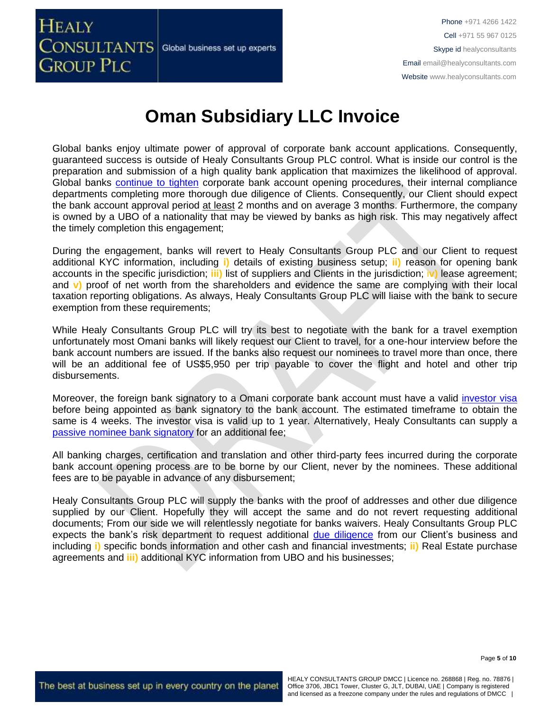

Global banks enjoy ultimate power of approval of corporate bank account applications. Consequently, guaranteed success is outside of Healy Consultants Group PLC control. What is inside our control is the preparation and submission of a high quality bank application that maximizes the likelihood of approval. Global banks [continue to tighten](https://www.healyconsultants.com/international-banking/opening-corporate-bank-accounts/) corporate bank account opening procedures, their internal compliance departments completing more thorough due diligence of Clients. Consequently, our Client should expect the bank account approval period at least 2 months and on average 3 months. Furthermore, the company is owned by a UBO of a nationality that may be viewed by banks as high risk. This may negatively affect the timely completion this engagement;

During the engagement, banks will revert to Healy Consultants Group PLC and our Client to request additional KYC information, including **i)** details of existing business setup; **ii)** reason for opening bank accounts in the specific jurisdiction; **iii)** list of suppliers and Clients in the jurisdiction; i**v)** lease agreement; and **v)** proof of net worth from the shareholders and evidence the same are complying with their local taxation reporting obligations. As always, Healy Consultants Group PLC will liaise with the bank to secure exemption from these requirements:

While Healy Consultants Group PLC will try its best to negotiate with the bank for a travel exemption unfortunately most Omani banks will likely request our Client to travel, for a one-hour interview before the bank account numbers are issued. If the banks also request our nominees to travel more than once, there will be an additional fee of US\$5,950 per trip payable to cover the flight and hotel and other trip disbursements.

Moreover, the foreign bank signatory to a Omani corporate bank account must have a valid [investor visa](https://www.healyconsultants.com/oman-company-registration/formation-support-services/) before being appointed as bank signatory to the bank account. The estimated timeframe to obtain the same is 4 weeks. The investor visa is valid up to 1 year. Alternatively, Healy Consultants can supply a [passive nominee bank signatory](http://www.healyconsultants.com/corporate-banking-services/nominee-bank-signatory/) for an additional fee;

All banking charges, certification and translation and other third-party fees incurred during the corporate bank account opening process are to be borne by our Client, never by the nominees. These additional fees are to be payable in advance of any disbursement;

Healy Consultants Group PLC will supply the banks with the proof of addresses and other due diligence supplied by our Client. Hopefully they will accept the same and do not revert requesting additional documents; From our side we will relentlessly negotiate for banks waivers. Healy Consultants Group PLC expects the bank's risk department to request additional [due diligence](http://www.healyconsultants.com/due-diligence/) from our Client's business and including **i)** specific bonds information and other cash and financial investments; **ii)** Real Estate purchase agreements and **iii)** additional KYC information from UBO and his businesses;

Page **5** of **10**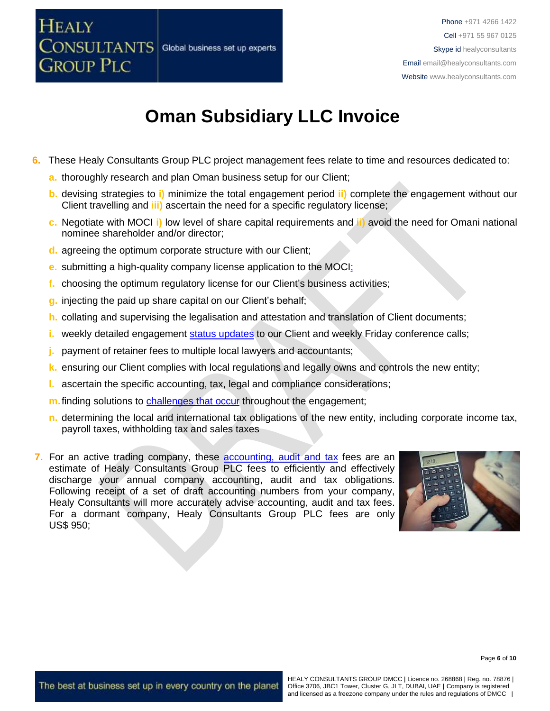### HEALY **CONSULTANTS** Global business set up experts **GROUP PLC**

# **Oman Subsidiary LLC Invoice**

- **6.** These Healy Consultants Group PLC project management fees relate to time and resources dedicated to:
	- **a.** thoroughly research and plan Oman business setup for our Client;
	- **b.** devising strategies to **i)** minimize the total engagement period **ii)** complete the engagement without our Client travelling and **iii)** ascertain the need for a specific regulatory license;
	- **c.** Negotiate with MOCI **i)** low level of share capital requirements and **ii)** avoid the need for Omani national nominee shareholder and/or director;
	- **d.** agreeing the optimum corporate structure with our Client;
	- **e.** submitting a high-quality company license application to the MOCI;
	- **f.** choosing the optimum regulatory license for our Client's business activities;
	- **g.** injecting the paid up share capital on our Client's behalf;
	- **h.** collating and supervising the legalisation and attestation and translation of Client documents;
	- **i.** weekly detailed engagement [status updates](http://www.healyconsultants.com/index-important-links/weekly-engagement-status-email/) to our Client and weekly Friday conference calls;
	- **j.** payment of retainer fees to multiple local lawyers and accountants;
	- **k.** ensuring our Client complies with local regulations and legally owns and controls the new entity;
	- **l.** ascertain the specific accounting, tax, legal and compliance considerations;
	- **m.** finding solutions to [challenges that occur](http://www.healyconsultants.com/engagement-project-management/) throughout the engagement;
	- **n.** determining the local and international tax obligations of the new entity, including corporate income tax, payroll taxes, withholding tax and sales taxes
- **7.** For an active trading company, these [accounting,](http://www.healyconsultants.com/oman-company-registration/accounting-legal/) audit and tax fees are an estimate of Healy Consultants Group PLC fees to efficiently and effectively discharge your annual company accounting, audit and tax obligations. Following receipt of a set of draft accounting numbers from your company, Healy Consultants will more accurately advise accounting, audit and tax fees. For a dormant company, Healy Consultants Group PLC fees are only US\$ 950;

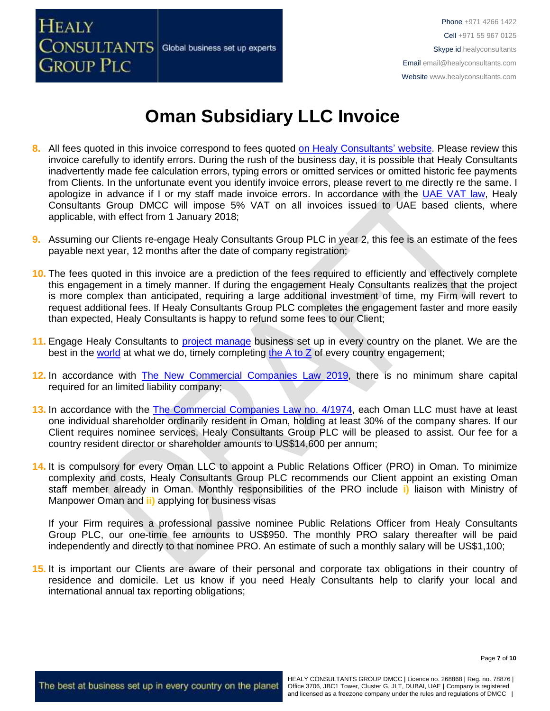

- **8.** All fees quoted in this invoice correspond to fees quoted [on Healy Consultants' website.](http://www.healyconsultants.com/company-registration-fees/) Please review this invoice carefully to identify errors. During the rush of the business day, it is possible that Healy Consultants inadvertently made fee calculation errors, typing errors or omitted services or omitted historic fee payments from Clients. In the unfortunate event you identify invoice errors, please revert to me directly re the same. I apologize in advance if I or my staff made invoice errors. In accordance with the [UAE VAT law,](https://www.tax.gov.ae/legislation.aspx) Healy Consultants Group DMCC will impose 5% VAT on all invoices issued to UAE based clients, where applicable, with effect from 1 January 2018;
- **9.** Assuming our Clients re-engage Healy Consultants Group PLC in year 2, this fee is an estimate of the fees payable next year, 12 months after the date of company registration;
- **10.** The fees quoted in this invoice are a prediction of the fees required to efficiently and effectively complete this engagement in a timely manner. If during the engagement Healy Consultants realizes that the project is more complex than anticipated, requiring a large additional investment of time, my Firm will revert to request additional fees. If Healy Consultants Group PLC completes the engagement faster and more easily than expected, Healy Consultants is happy to refund some fees to our Client;
- **11.** Engage Healy Consultants to project [manage](http://www.healyconsultants.com/project-manage-engagements/) business set up in every country on the planet. We are the best in the [world](http://www.healyconsultants.com/best-in-the-world/) at what we do, timely completing [the A to Z](http://www.healyconsultants.com/a-to-z-of-business-set-up/) of every country engagement;
- **12.** In accordance with [The New Commercial Companies Law 2019,](http://mola.gov.om/eng/legislation/decrees/details.aspx?Id=548&type=L) there is no minimum share capital required for an limited liability company;
- **13.** In accordance with the [The Commercial Companies Law no. 4/1974,](http://images.mofcom.gov.cn/om/table/gsf.pdf) each Oman LLC must have at least one individual shareholder ordinarily resident in Oman, holding at least 30% of the company shares. If our Client requires nominee services, Healy Consultants Group PLC will be pleased to assist. Our fee for a country resident director or shareholder amounts to US\$14,600 per annum;
- **14.** It is compulsory for every Oman LLC to appoint a Public Relations Officer (PRO) in Oman. To minimize complexity and costs, Healy Consultants Group PLC recommends our Client appoint an existing Oman staff member already in Oman. Monthly responsibilities of the PRO include **i)** liaison with Ministry of Manpower Oman and **ii)** applying for business visas

If your Firm requires a professional passive nominee Public Relations Officer from Healy Consultants Group PLC, our one-time fee amounts to US\$950. The monthly PRO salary thereafter will be paid independently and directly to that nominee PRO. An estimate of such a monthly salary will be US\$1,100;

**15.** It is important our Clients are aware of their personal and corporate tax obligations in their country of residence and domicile. Let us know if you need Healy Consultants help to clarify your local and international annual tax reporting obligations;

Page **7** of **10**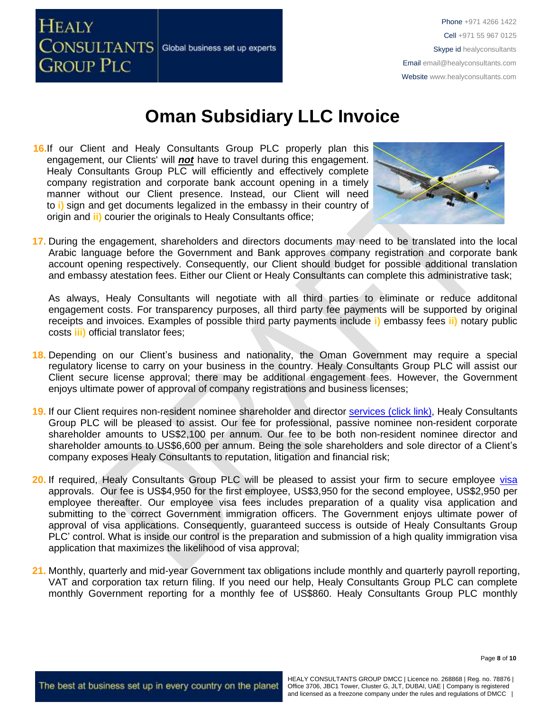

16.If our Client and Healy Consultants Group PLC properly plan this engagement, our Clients' will *not* have to travel during this engagement. Healy Consultants Group PLC will efficiently and effectively complete company registration and corporate bank account opening in a timely manner without our Client presence. Instead, our Client will need to **i)** sign and get documents legalized in the embassy in their country of origin and **ii)** courier the originals to Healy Consultants office;



**17.** During the engagement, shareholders and directors documents may need to be translated into the local Arabic language before the Government and Bank approves company registration and corporate bank account opening respectively. Consequently, our Client should budget for possible additional translation and embassy atestation fees. Either our Client or Healy Consultants can complete this administrative task;

As always, Healy Consultants will negotiate with all third parties to eliminate or reduce additonal engagement costs. For transparency purposes, all third party fee payments will be supported by original receipts and invoices. Examples of possible third party payments include **i)** embassy fees **ii)** notary public costs **iii)** official translator fees;

- **18.** Depending on our Client's business and nationality, the Oman Government may require a special regulatory license to carry on your business in the country. Healy Consultants Group PLC will assist our Client secure license approval; there may be additional engagement fees. However, the Government enjoys ultimate power of approval of company registrations and business licenses;
- **19.** If our Client requires non-resident nominee shareholder and director services [\(click link\),](http://www.healyconsultants.com/corporate-outsourcing-services/nominee-shareholders-directors/) Healy Consultants Group PLC will be pleased to assist. Our fee for professional, passive nominee non-resident corporate shareholder amounts to US\$2,100 per annum. Our fee to be both non-resident nominee director and shareholder amounts to US\$6,600 per annum. Being the sole shareholders and sole director of a Client's company exposes Healy Consultants to reputation, litigation and financial risk;
- **20.** If required, Healy Consultants Group PLC will be pleased to assist your firm to secure employee [visa](http://www.healyconsultants.com/oman-company-registration/formation-support-services/) approvals. Our fee is US\$4,950 for the first employee, US\$3,950 for the second employee, US\$2,950 per employee thereafter. Our employee visa fees includes preparation of a quality visa application and submitting to the correct Government immigration officers. The Government enjoys ultimate power of approval of visa applications. Consequently, guaranteed success is outside of Healy Consultants Group PLC' control. What is inside our control is the preparation and submission of a high quality immigration visa application that maximizes the likelihood of visa approval;
- **21.** Monthly, quarterly and mid-year Government tax obligations include monthly and quarterly payroll reporting, VAT and corporation tax return filing. If you need our help, Healy Consultants Group PLC can complete monthly Government reporting for a monthly fee of US\$860. Healy Consultants Group PLC monthly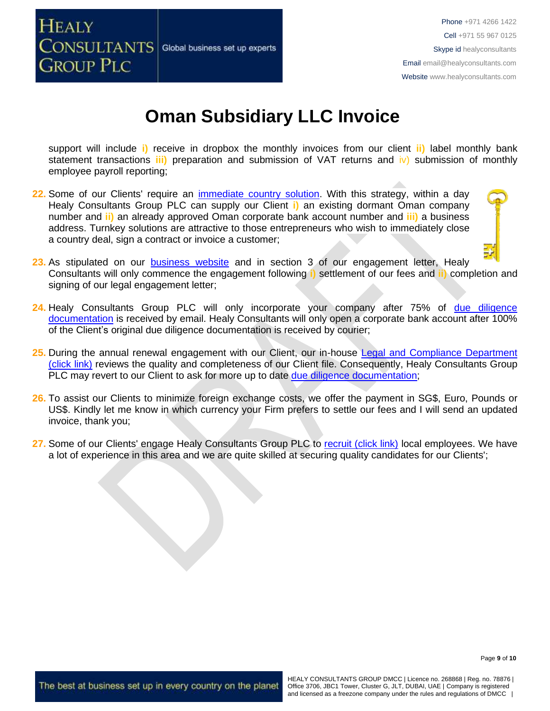

support will include **i)** receive in dropbox the monthly invoices from our client **ii)** label monthly bank statement transactions **iii)** preparation and submission of VAT returns and iv) submission of monthly employee payroll reporting;

- **22.** Some of our Clients' require an [immediate country solution.](http://www.healyconsultants.com/turnkey-solutions/) With this strategy, within a day Healy Consultants Group PLC can supply our Client **i)** an existing dormant Oman company number and **ii)** an already approved Oman corporate bank account number and **iii)** a business address. Turnkey solutions are attractive to those entrepreneurs who wish to immediately close a country deal, sign a contract or invoice a customer;
- 23. As stipulated on our **[business website](http://www.healyconsultants.com/)** and in section 3 of our engagement letter, Healy Consultants will only commence the engagement following **i)** settlement of our fees and **ii)** completion and signing of our legal engagement letter;
- **24.** Healy Consultants Group PLC will only incorporate your company after 75% of [due diligence](http://www.healyconsultants.com/due-diligence/)  [documentation](http://www.healyconsultants.com/due-diligence/) is received by email. Healy Consultants will only open a corporate bank account after 100% of the Client's original due diligence documentation is received by courier;
- **25.** During the annual renewal engagement with our Client, our in-house [Legal and Compliance Department](http://www.healyconsultants.com/about-us/key-personnel/cai-xin-profile/)  [\(click link\)](http://www.healyconsultants.com/about-us/key-personnel/cai-xin-profile/) reviews the quality and completeness of our Client file. Consequently, Healy Consultants Group PLC may revert to our Client to ask for more up to date [due diligence documentation;](http://www.healyconsultants.com/due-diligence/)
- **26.** To assist our Clients to minimize foreign exchange costs, we offer the payment in SG\$, Euro, Pounds or US\$. Kindly let me know in which currency your Firm prefers to settle our fees and I will send an updated invoice, thank you;
- 27. Some of our Clients' engage Healy Consultants Group PLC to [recruit \(click link\)](http://www.healyconsultants.com/corporate-outsourcing-services/how-we-help-our-clients-recruit-quality-employees/) local employees. We have a lot of experience in this area and we are quite skilled at securing quality candidates for our Clients';

Page **9** of **10**

The best at business set up in every country on the planet